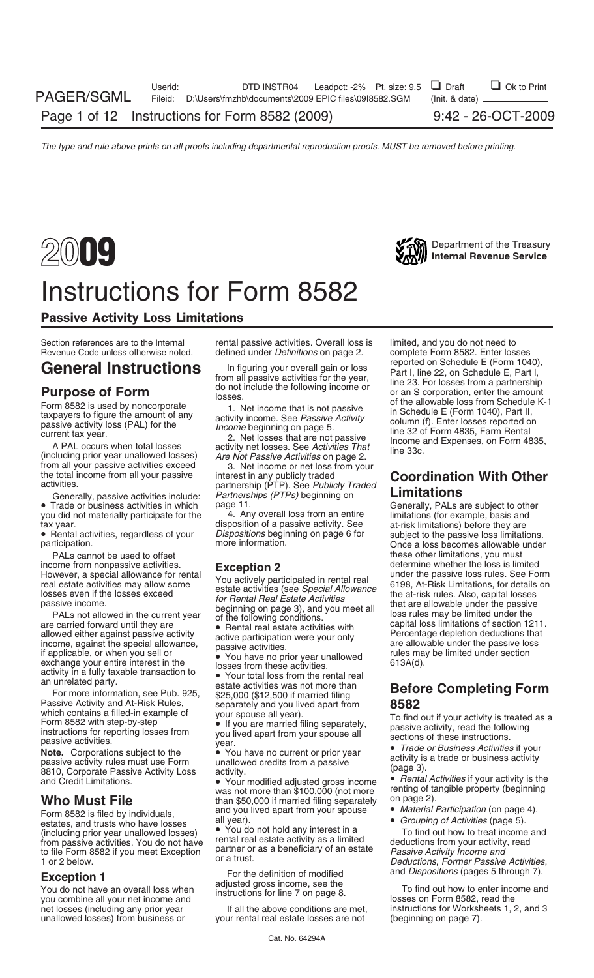

### Instructions for Form 8582

### Passive Activity Loss Limitations

PALs cannot be used to offset the these other limitations, you must help these other limitations, you must

Passive Activity and At-Risk Rules,<br>
which contains a filled-in example of<br>
Form 8582 with step-by-step<br>
instructions for reporting losses from<br>
passive activity is treated as a<br>
instructions for reporting losses from<br>
pa

Form 8582 is filed by individuals, and you lived apart from your spouse • *Material Participation* (on page 4).<br>
estates, and trusts who have losses all year).<br>
(including prior year unallowed losses) • You do not hold any (including prior year unallowed losses) • You do not hold any interest in a<br>Trom passive activities. You do not have rental real estate activity as a limited from passive activities. You do not have rental real estate activity as a limited deductions from your activity, read<br>to file Form 8582 if you meet Exception partner or as a beneficiary of an estate *Passive Activity Incom* to file Form 8582 if you meet Exception partner or as a beneficiary of an estate *Passive Activity Income and* or a trust. 1 or 2 below. *Deductions*, *Former Passive Activities*,

Section references are to the Internal rental passive activities. Overall loss is limited, and you do not need to<br>Revenue Code unless otherwise noted. defined under *Definitions* on page 2. complete Form 8582. Enter losses

The total income from all your passive active interest in any publicly traded<br>
activities include: *Partnerships (PTPs)* beginning on **Limitations**<br>
• Trade or business activities in which page 11. Generally, PALs are subj

you did not materially participate for the 4. Any overall loss from an entire tax year.

an unrelated party.<br>For more information, see Pub. 925, \$25,000 (\$12,500 if married filing<br>Passive Activity and At-Risk Rules, separately and you lived apart from

was not more than \$100,000 (not more renting of tangible property (beginning the result) was not to property (b<br>than \$50,000 if married filing senarately conpage 2). **Who Must File** than \$50,000 if married filing separately<br>Form 8582 is filed by individuals and you lived apart from your spouse

**Exception 1** For the definition of modified and *Dispositions* (pages 5 through 7).<br>You do not have an overall loss when adjusted gross income, see the To find out how to enter income and<br>you combine all your net income a

your rental real estate losses are not

defined under *Definitions* on page 2. complete Form 8582. Enter losses<br>Le finitions on page 2. complete Form 8582. Enter losses **General Instructions** In figuring your overall gain or loss reported on Schedule E (Form 1040),<br> **Purpose of Form**<br> **Purpose of Form**<br> **Purpose of Form**<br> **Purpose of Form**<br> **Purpose of Form**<br> **Purpose of Form**<br> **Expansive** 

tax year. The control of a passive activity. See the at-risk limitations) before they are<br>● Rental activities, regardless of your *Dispositions* beginning on page 6 for subject to the passive loss limitations.<br>participati income from nonpassive activities.<br>
However, a special allowance for rental <br>  $\frac{1}{2}$ <br>  $\frac{1}{2}$ <br>  $\frac{1}{2}$ <br>  $\frac{1}{2}$ <br>  $\frac{1}{2}$ <br>  $\frac{1}{2}$ <br>  $\frac{1}{2}$ <br>  $\frac{1}{2}$ <br>  $\frac{1}{2}$ <br>  $\frac{1}{2}$ <br>  $\frac{1}{2}$ <br>  $\frac{1}{2}$ <br>  $\frac{1}{2}$ <br> However, a special allowance for rental<br>
least eactivities was the distributed in rental real<br>
least eactivities (see *Special Allowance*<br>
least eactivities (see *Special Allowance*<br>
least eactivities the distributions, fo

# **Before Completing Form**

and Credit Limitations.<br>and Credit Limitations. • • *Your modified adjusted gross income* • *Rental Activities* if your activity is the<br>was not more than \$100,000 (not more renting of tangible property (beginning

- 
- 

net losses (including any prior year If all the above conditions are met, instructions for Worksheets 1, 2, and 3<br>unallowed losses) from business or your rental real estate losses are not (beginning on page 7).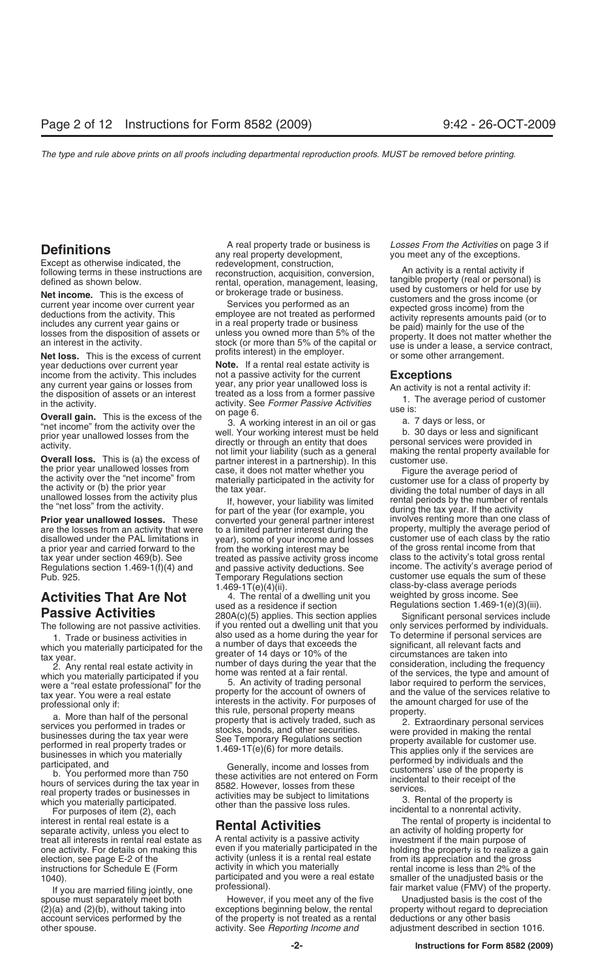year deductions over current year **Note.** If a rental real estate activity is income from the activity. This includes not a passive activity for the current

a prior year and carried forward to the other of the working interest may be tax year under section 469(b). See treated as passive activity gross in

## **Activities That Are Not** 4. The rental of a dwelling **Activities That Are Not** used as a residence if section

which you materially participated if you home was rented at a fair rental. of the services, the type and amount of were a "real estate professional" for the 5. An activity of trading personal labor required to perform the

For purposes of item (2), each<br>interest in rental real estate is a<br>separate activity, unless you elect to<br>treat all interests in rental real estate as<br>A rental activity is a passive activity<br>investment if the main purpose treat all interests in rental real estate as A rental activity is a passive activity investment if the main purpose of one activity. For details on making this even if you materially participated in the holding the propert one activity. For details on making this even if you materially participated in the election, see page E-2 of the activity (unless it is a rental real estate instructions for Schedule E (Form activity in which you materially rental income is less than 2% of the<br>participated and you were a real estate smaller of the unadjusted basis or the

income from the activity. This includes<br>
any current year gains or losses from year, any prior year unallowed loss is<br>
the disposition of assets or an interest<br>
in the activity. See *Former Passive Activities*<br> **Overall ga** 

Frior year unallowed losses. These converted your general partner interest involves renting more than one class of<br>are the losses from an activity that were to a limited partner interest during the property, multiply the a are the losses from an activity that were to a limited partner interest during the property, multiply the average period of disallowed under the PAL limitations in year), some of your income and losses customer use of each year), some of your income and losses customer use of each class by the ratio<br>from the working interest may be so file gross rental income from that tax year under section 469(b). See treated as passive activity gross income class to the activity's total gross rental treated as passive activity gross income. The activity's average period expanding Regulations section 1 Regulations section 1.469-1(f)(4) and and passive activity deductions. See income. The activity's average period of  $\frac{1.469 \cdot 1}{1.600 \cdot 1}$  Temporary Requlations section customer use equals the sum of these Temporary Regulations section customer use equals the sum of these  $1.469-1T(e)(4)(ii)$ .

**Passive Activities** 280A(c)(5) applies. This section applies Significant personal services include The following are not passive activities. if you rented out a dwelling unit that you only services performed by individuals.<br>1. Trade or business activities in also used as a home during the year for To determine if person 1. Trade or business activities in also used as a home during the year for To determine if personal services are<br>ich vou materially participated for the a number of days that exceeds the significant, all relevant facts and which you materially participated for the a number of days that exceeds the significant, all relevant facts and<br>greater of 14 days or 10% of the circumstances are taken into greater or 14 days or 10% of the circumstances are taken into<br>2. Any rental real estate activity in number of days during the year that the consideration, including the frequency<br>2. Any rental real estate activity in home

activity (unless it is a rental real estate from its appreciation and the gross<br>activity in which you materially entity rental income is less than 2% of the

spouse must separately meet both However, if you meet any of the five Unadjusted basis is the cost of the (2)(a) and (2)(b), without taking into exceptions beginning below, the rental property without regard to depreciatio exceptions beginning below, the rental property without regard to depreciation account services performed by the of the property is not treated as a rental deductions or any other basis other spouse. activity. See *Reporting Income and* adjustment described in section 1016.

**Definitions**<br>
Except as otherwise indicated, the<br>
Except as otherwise indicated, the<br>
redevelopment, construction,<br>
following terms in these instructions are<br>
redevelopment, construction,<br>
following terms in these instruc

the prior year unallowed losses from the activity over the "net income" from the activity over the "net income" from the tax year the activity or (b) the prior year the tax year.<br>
unallowed losses from the activity plus in .69-1T(e)(4)(ii).<br>4. The rental of a dwelling unit you weighted by gross income. See Regulations section  $1.469-1(e)(3)(iii)$ .

were a "real estate professional" for the 5. An activity of trading personal labor required to perform the services,<br>tax year. You were a real estate service to property for the account of owners of and the value of the se

From education and the value of the services relative to the services and the value of the services relative to<br>professional only if:<br>a. More than half of the personal<br>services over the activity. For purposes of the annul

10, participated and you are married filing jointly, one professional). The uncertainty of the unanglusted basis of the property.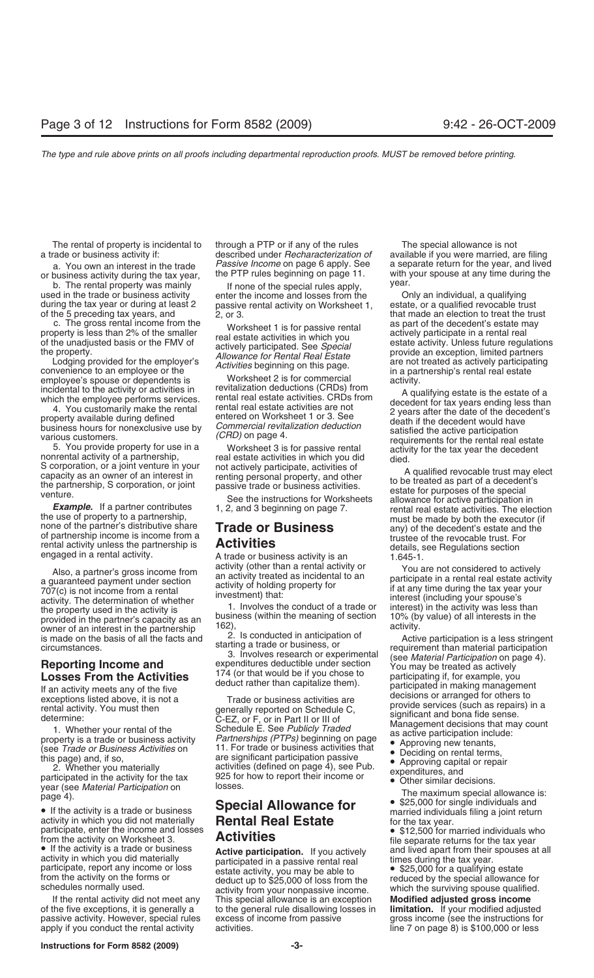during the tax year or during at least 2 passive rental activity on Worksheet 1, of the 5 preceding tax years, and  $\begin{array}{c} 2.0r3. \end{array}$ 

c. The gross rental income from the vorksheet 1 is for passive rental as part of the decedent's estate may<br>property is less than 2% of the smaller real estate activities in which you actively participate in a rental real

example of the convenience to an employee or the convenience to an employee or the convenience of the conventions of the commercial incidental to the activity or activities in revitalization deductions (CRDs) from A qualif

rental activity unless the partnership is **ACTIVITIES** details, see Regulations section engaged in a rental activity.<br>A trade or business activity is an 1.645-1.

year (see Material Participation on losses.<br>
page 4).<br> **Special Allowance for**  $\bullet$  \$25,000 for single individuals and

From the activity on Worksheet 3.<br>
• If the activity is a trade or business<br>
active participation. If you actively<br>
active participation. If you actively<br>
active participation. If you actively<br>
and lived apart from their s

of the five exceptions, it is generally a to the general rule disallowing losses in **limitation.** If your modified adjusted passive activity. However, special rules excess of income from passive

The rental of property is incidental to through a PTP or if any of the rules The special allowance is not a. You own an interest in the trade *Passive Income* on page 6 apply. See or business activity during the tax year, the PTP rules beginning on page 11.

b. The rental property was mainly and the special rules apply, wear.<br>If none of the special rules apply, the special rules apply, the restate or a qualifying during the tax year or during at least 2 bassive rental activity 2. or 3. that made an election to treat the trust

# Page +/.<br>
• If the activity is a trade or business<br>
activity in which you did not materially<br>
participate, enter the income and losses<br> **Activition**<br> **Activition**<br> **Activition**<br> **Activition**<br> **Activition**<br> **Activition**<br> **A**

If the rental activity did not meet any This special allowance is an exception **Modified adjusted gross income** apply if you conduct the rental activity activities. Let us and the 7 on page 8) is \$100,000 or less

a trade or business activity if: described under *Recharacterization of* available if you were married, are filing with your spouse at any time during the<br>vear,

property is less than 2% of the smaller<br>
of the unadjusted basis or the FMV of<br>
the property.<br>
Lodging provided for the employer's<br>
Lodging provided for the employer's<br>
allowance for Rental Real Estate<br>
Allowance for Renta

incidental to the activity or activities in<br>
which the employee performs services. Then the rental real estate activities CRDs) from<br>
which the employee performs services. Then the rental real estate activities creator dec

**Example.** It a partner contributes 1, 2, and 3 beginning on page 7. The election the use of property to a partnership,<br>
the use of property to a partnership,<br>
the executor (if mone of the partner's distributive share<br>
of

Also, a partner's gross income from<br>
an activity forted an actival divity or<br>
an activity treated a sincidental to an<br>
an activity of holding property for<br>
an activity of holding property for<br>
an activity is an activity o

- 
- 
- 
- 
-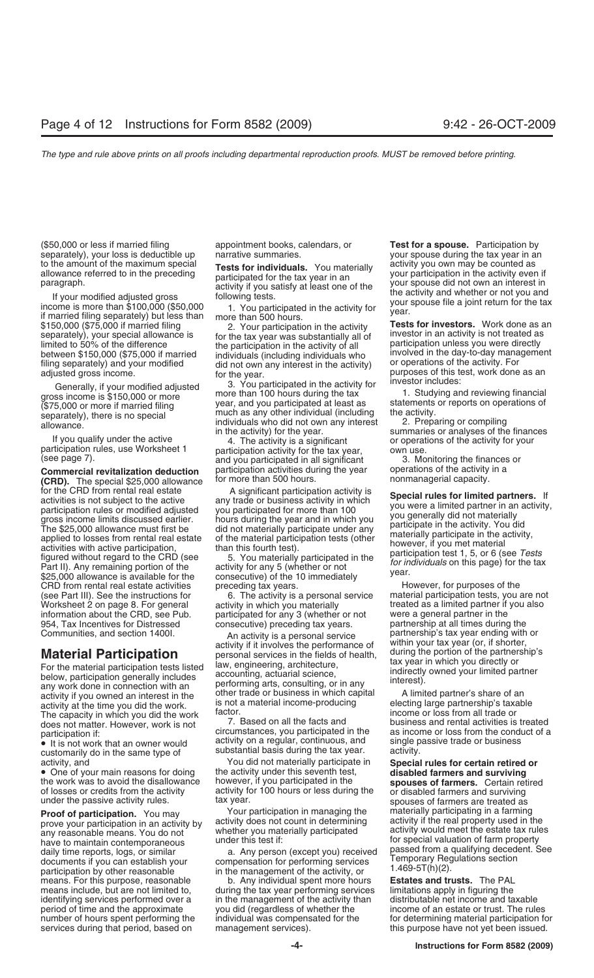(\$50,000 or less if married filing appointment books, calendars, or **Test for a spouse.** Participation by separately), your loss is deductible up narrative summaries. you materially your spouse during the tax year in an to the amount of the maximum special Tests for individuals You materially activity you own may be counted as

**(CRD).** The special \$25,000 allowance than 500 hours.<br>for the CRD from rental real estate **A** significant participation activity is For the CRD from rental real estate<br>activities is not subject to the active<br>activities is not subject to the active<br>gross income limits discussed earlier. <br>activity in which provided adjusted you participation rules or mod CRD from rental real estate activities preceding tax years. However, for purposes of the (see Part III). See the instructions for  $\,$  6. The activity is a personal service material participation tests, you are not Worksheet 2 on page 8. For general activity in which you materially treated as a limited partner if you also<br>information about the CRD, see Pub. participated for any 3 (whether or not were a general partner in the 954, Tax Incentives for Distressed consecutive) preceding tax years.

any work done in connection with an an performing arts, consulting, or in any<br>activity if you owned an interest in the other trade or business in which capital A limited partner's share of an<br>activity at the time you did t activity at the time you did the work. is not a material income-producing electing large partnership's taxa<br>The capacity in which you did the work factor. The capacity in which you did the work factor.<br>does not matter. However, work is not all the facts and business and rental activities is treated does not matter. However, work is not the facts on all the facts and business and rental activities is treated<br>participation if:<br>participation if:

• It is not work that an owner would<br>customarily do in the same type of substantial basis during the tax year. activity.<br>You did not materially participate in **Specia** 

the work was to avoid the disallowance however, if you participated in the **spouses of farmers.** Certain retired of losses or credits from the activity of activity for 100 hours or less during the or disabled farmers and s

**Proof of participation.** You may Your participation in managing the prove your participation in an activity by activity does not count in determining activity if the real property used in the any reasonable means. You do means. For this purpose, reasonable b. Any individual spent more hours **Estates and trusts.** The PAL

participation rules, use Worksheet 1 barticipation activity for the tax year, both use.<br>(see page 7). The finances or and you participated in all significant and 3. Monitoring the finances or<br>**Commercial revitalization ded Commercial revitalization deduction** participation activities during the year operations of the activity commention<br>CRD). The special \$25,000 allowance for more than 500 hours.

participated for any 3 (whether or not were a general partner in the consecutive) preceding tax years. partnership at all times during the

Communities, and section 1400I. <br>An activity is a personal service partnership's tax year ending with or<br>Authin your tax year (or, if shorter, action of the partnership's **Material Participation**<br>
For the material participation tests listed<br>
below, participation generally includes<br>
any work done in connection with an<br>
any work done in connection with an<br>
during the portion of the partnershi

participation if: circumstances, you participated in the as income or loss from the conduction if:<br>
• It is not work that an owner would activity on a regular, continuous, and single passive trade or business

activity, and You did not materially participate in **Special rules for certain retired or** • One of your main reasons for doing the activity under this seventh test, **disabled farmers and surviving** of losses or credits from the activity activity for 100 hours or less during the or disabled farmers and surviving under the passive activity rules. tax year.

means include, but are not limited to, during the tax year performing services limitations apply in figuring the identifying services performed over a in the management of the activity than distributable net income and taxable<br>period of time and the approximate you did (regardless of whether the income of an estate or trust. The rule services during that period, based on management services). This purpose have not yet been issued.

to the amount of the maximum special<br>allowance referred to in the preceding<br>paragraph.<br>If your modified adjusted gross<br>income is more than \$100,000 (\$50,000<br>if married filing separately) but less than<br>if married filing sep

\$150,000 (\$75,000 if married filing  $\frac{1}{2}$ . Your participation in the activity<br>since is for investors. Work done as an<br>limited to 50% of the difference<br>between \$150,000 (\$75,000 if married and the participation in the

income of an estate or trust. The rules number of hours spent performing the individual was compensated for the for determining material participation for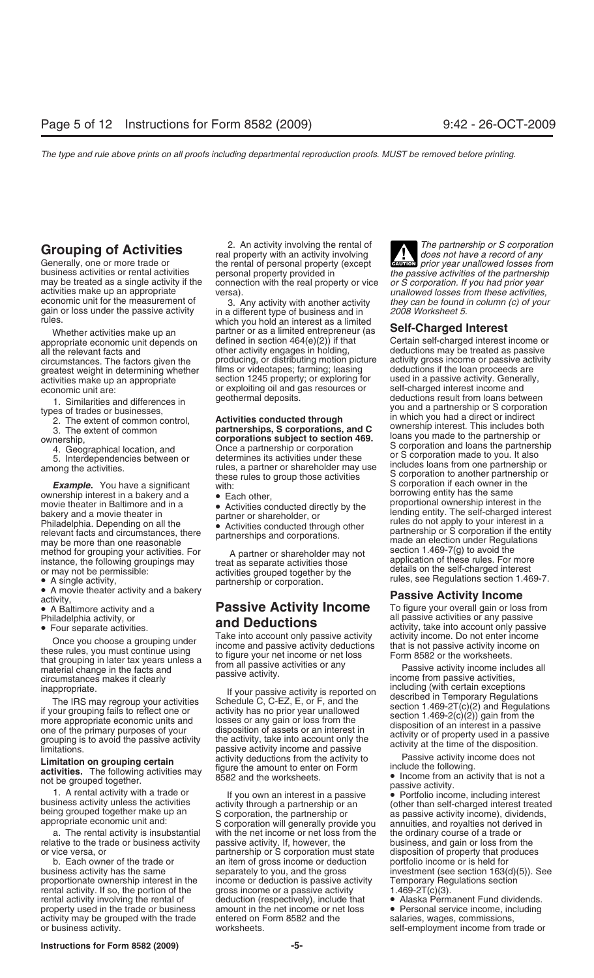economic unit for the measurement of and in a different type of business and in they can be found in column (c) of your gain or loss under the passive activity in a different type of business and in 2008 Worksheet 5.<br>
whic

ownership interest in a bakery and a borrowing entity has the same<br>movie theater in Baltimore and in a borrowing entity has the same proportional ownership interest in the

Once you choose a grouping under<br>these rules, you must continue using<br>that grouping in later tax years unless a<br>material change in the facts and<br>circumstances makes it clearly<br>circumstances makes it clearly<br>circumstances m

relative to the trade or business activity passive activity. If, however, the business, and gain or loss from the or vice versa, or partnership or S corporation must state disposition of property that produces or vice versa, or partnership or S corporation must state disposition of produces that property that property that produces that produces of property that produces of property that produces of property that property that p

proportionate ownership interest in the income or deduction is passive activity activity may be grouped with the trade

**Grouping of Activities** and property with an activity involving the rental of  $\blacksquare$  The partnership or S corporation real property with an activity involving does not have a record of any the rental of personal property business activities or rental activities personal property provided in the passive activities of the partnership<br>may be treated as a single activity if the connection with the real property or vice or S corporation. If you

which you hold an interest as a limited Whether activities make up an partner or as a limited entrepreneur (as **Self-Charged Interest**<br>propriate economic unit depends on defined in section 464(e)(2)) if that Certain self-charged interest i appropriate economic unit depends on defined in section 464(e)(2)) if that Certain self-charged interest income or<br>all the relevant facts and other activity engages in holding, deductions may be treated as passive all the relevant facts and other activity engages in holding, but deductions may be treated as passive activity engages in holding, deductions may be treated as passive activity circumstances. The factors given the produci circumstances. The factors given the producing, or distributing motion picture activity gross income or passive activity greatest weight in determining whether films or videotapes; farming; leasing deductions if the loan proceeds are<br>activities make up an appropriate section 1245 property; or exploring for used in a passive activity. General section 1245 property; or exploring for used in a passive activity. Generally or exploring oil and gas resources or used in a passive activity. Generally economic unit are: or exploiting oil and gas resources or self-charged interest income and<br>
conomic unit are: or exploiting oil and gas resources or self-charged interest income and<br>
deductions result from loans between

### extivity,<br>
• A Baltimore activity and a **Passive Activity Income** To figure your overall gain or loss from<br>
Philadelphia activity, or **and Doductions** all passive activities or any passive **and Deductions**<br>**and Deductions**

The IRS may regroup your activities<br>
if your passive activity is reported on<br>
if your grouping fails to reflect one or<br>
if your grouping fails to reflect one or<br>
if your grouping fails to reflect one or<br>
if your grouping f activity income and passive activity at the time of the disposition.<br> **Limitation on grouping certain** include the activity to activities. The following activities may figure the amount to enter on Form include the followi

a. The rental activity is insubstantial with the net income or net loss from the the ordinary course of a trade or<br>ative to the trade or business activity passive activity. If, however, the business, and gain or loss from b. Each owner of the trade or an item of gross income or deduction portfolio income or is held for rental activity. If so, the portion of the gross income or a passive activity  $1.469-2T(c)(3)$ . rental activity involving the rental of deduction (respectively), include that • Alaska Permanent Fund dividends.<br>
property used in the trade or business amount in the net income or net loss • Personal service income, incl property used in the trade or business amount in the net income or net loss • Personal service income, inclusions, activity may be grouped with the trade entered on Form 8582 and the salaries, wages, commissions, or business activity. The self-employment income from trade or

**ENTION** prior year unallowed losses from

1. Similarities and differences in geothermal deposits.<br>
types of trades or businesses,<br>
2. The extent of common control,<br>
3. The extent of common control,<br>
2. The extent of common<br>
2. The extent of common<br>
2. The extent o 4. Geographical location, and<br>
5. Interdependencies between or<br>
among the activities.<br>
among the activities.<br>
among the activities.<br>
among the activities.<br>
among the activities.<br>
These rules to group those activities<br>
thes these rules to group those activities and only of corporation to another partnership<br>S corporation if each owner in the<br>S corporation if each owner in the<br>borrowing entity has the same movie theater in Baltimore and in a<br>
bakery and a movie theater in<br>
Philadelphia. Depending on all the<br>
relevant facts and circumstances, there<br>
may be more than one reasonable<br>
may be more than one reasonable<br>
disconducte method for grouping your activities. For a partner or shareholder may not instance, the following groupings may<br>
instance, the following groupings may treat as separate activities those activities are activities or may no

• Four separate activities.<br>Take into account only passive activity activity income. Do not enter income<br>Oneo you shapes a grouning under

activities. The following activities have activity activities in a passive activity.<br>
The following activities had the worksheets.<br>
1. A rental activity with a trade or business activity unless the activities activity thro business activity has the same separately to you, and the gross investment (see section 163(d)(5)). See proportionate ownership interest in the income or deduction is passive activity Temporary Regulations section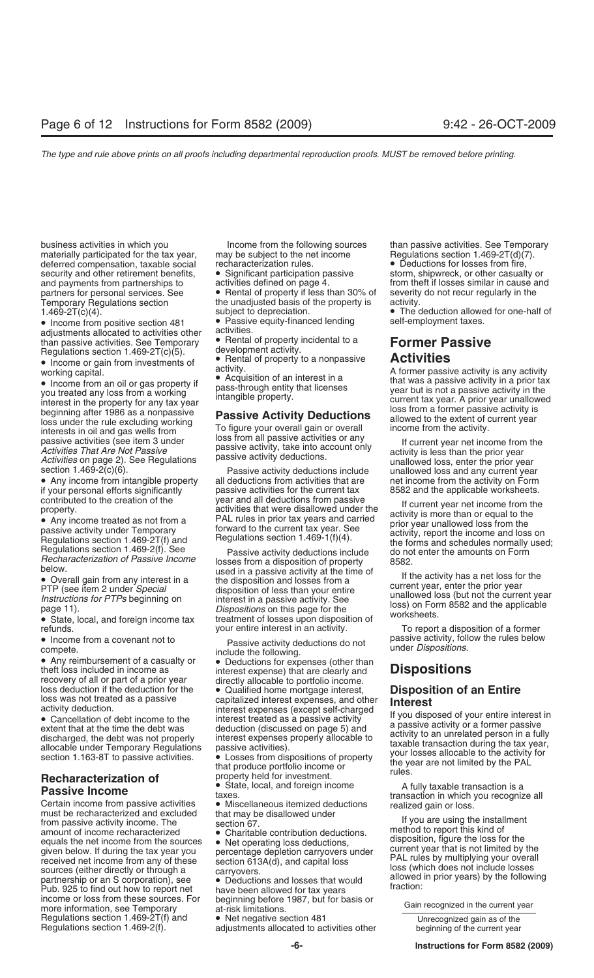business activities in which you Income from the following sources than passive activities. See Temporary materially participated for the tax year, may be subject to the net income Regulations section 1.469-2T(d)(7).<br>deferred compensation, taxable social recharacterization rules. • Deductions for losses from fire, deferred compensation, taxable social recharacterization rules. <br>security and other retirement benefits. <br>**•** Significant participation passive storm, shipwreck, or other casualty or security and other retirement benefits,  $\bullet$  Significant participation passecurity and payments from partnerships to activities defined on page 4. Temporary Regulations section the unadjusted basis of the property is  $1.469-2T(c)(4)$ .

• Income from positive section 481 • Passive equity-financed lending<br>adjustments allocated to activities other activities. adjustments allocated to activities other activities.<br>than passive activities See Temporary • Rental of property incidental to a than passive activities. See Temporary • Rental of property incidental to a **Former Passive**

A former passive activity is any activity<br>
• Income from an oil or gas property if<br>
working capital.<br>
the property for any toxis that was a passive activity in a prior tax<br>
you treated any loss from a working<br>
interest i

**Passive Income from passive activities**<br>
Certain income from passive activities<br>
Certain income from passive activities<br>
must be recharacterized and excluded that may be disallowed under<br>
must be recharacterized and exclu Pub. 925 to find out how to report net<br>income or loss from these sources. For beginning before 1987, but for basis or<br>more information, see Temporary at-risk limitations. Regulations section 1.469-2T(f) and • Net negative section 481 Unrecognized gain as of the Regulations section 1.469-2(f).<br>Regulations section 1.469-2(f). adjustments allocated to activities other beginning of the current

partners for personal services. See • Rental of property if less than 30% of severity do not recur regularly in the Temporary Requilitions section

Regulations section 1.469-2T(c)(5). development activity.<br>• Income or gain from investments of  $\bullet$  Rental of property to a nonpassive • Income or gain from investments of **•** Rental of property to a nonpassive **Activities**<br>
working capital. A former passive activity is any activity activity activity.

vection 1.469-2(c)(6). Passive activity deductions include unallowed loss and any current year<br>● Any income from intangible property all deductions from activities that are net income from the activity on Form if your per passive activities for the current tax 8582 and the applicable worksheets.<br>year and all deductions from passive the current vear not income from the

*Regulations section 1.469-2(1).* See *Passive activity deductions include* do not enter the amounts on Form *Recharacterization of Passive Income* losses from a disposition of property 8582. below.<br>
■<br>
■<br> **•** Overall gain from any interest in a<br> **e** Overall gain from any interest in a<br>
<br> **e** Overall gain from any interest in a<br>
<br> **e** Overall gain from any interest in a<br>
<br> **e** Overall gain from any interest in

from theft if losses similar in cause and

• The deduction allowed for one-half of self-employment taxes.

contributed to the creation of the vear and all deductions from passive<br>
• Any income treated as not from a<br>
• Any income treated as not from a<br>
passive activity under Temporary<br>
Fegulations section 1.469-2T(f) and<br>
Regul

refunds.<br>
your entire interest in an activity.<br>
Despite activity deductions do not be passive activity, follow the rules below<br>
passive activity, follow the rules below

• Income from a covenant not to the selection of the selection of the selection of a casualty or the metallical to the property of all or property be the selection of the selection of the selection of the coverage interest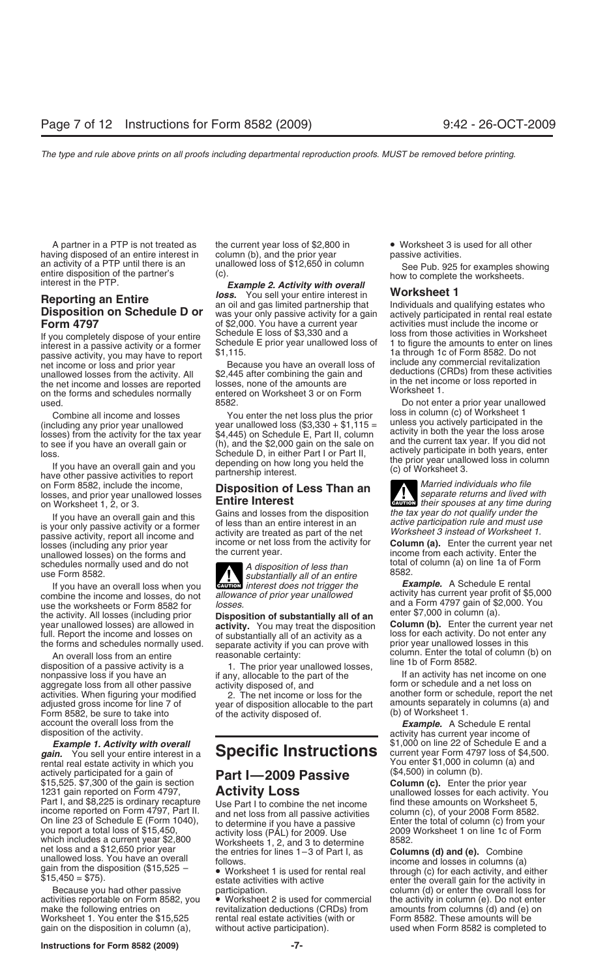A partner in a PTP is not treated as the current year loss of \$2,800 in • Worksheet 3 is used for all other having disposed of an entire interest in column (b), and the prior year passive activities.<br>an activity of a PTP until there is an unallowed loss of \$12,650 in column an activity of a PTP until there is an unallowed loss of \$12,650 in column See Pub. 925 for examples showing<br>entire disposition of the partner's (c).<br>interest in the PTP. **Example 2. Activity with overall** bow to complete

net income or loss and prior year<br>
unallowed losses from the activity. All \$2,445 after combining the gain and<br>
the net income and losses are reported losses, none of the amounts are<br>
on the forms and schedules normally en

on Form 8582, include the income, **Disposition of Less Than an** losses, and prior year unallowed losses **Disposition of Less Than an and local separate returns and lived with** on Worksheet 1, 2, or 3. **Entire Interest** on Form Sock, include the income,<br>losses, and prior year unallowed losses<br>on Worksheet 1, 2, or 3. **Entire Interest CAUTION** *their spouses at any time during* 

If you have an overall loss when you<br>combine the income and losses, do not allowance of prior year unallowed<br>use the worksheets or Form 8582 for losses.<br>and a Form 4797 gain of \$2,000. You use the worksheets or Form 8582 for<br>the activity. All losses (including prior **Disposition of substantially all of an**<br>year unallowed losses) are allowed in **activity**. You may treat the disposition **Column (b)**. Enter the year unallowed losses) are allowed in **activity**. You may treat the disposition **Column (b)**. Enter the current year need full. Report the income and losses on of substantially all of an activity as a loss for each activit

An overall loss from an entire mericum column (b) on An overall loss from an entire enter the total on An overall on An overall on An overall on An overall of Form 8582.<br>
If an activity has negative loss if you have an an activities. When figuring your modified 2. The net income or loss for the adjusted gross income for line 7 of vear of disposition allocable to the p Form 8582, be sure to take into of the activity disposed of. account the overall loss from the *Example.* A Schedule E rental disposition of the activity.

*gain.* You sell your entire interest in a **Specific Instructions** current year Form 4797 loss of \$4,5<br>rental real estate activity in which you rental real estate activity in which you  $\overline{Part I}$  2009  $P$  actively participated for a gain of  $\overline{Part I}$  2009  $P$  acsively participated for a gain of actively participated for a gain of **Part I—2009 Passive** (\$4,500) in column (b).<br>\$15,525. \$7,300 of the gain is section **Part I—2009 Passive Column (c).** Enter the prior year<br>1231 gain reported on Form 4797, **Activity Los** 1231 gain reported on Form 4797, **ACTIVITY LOSS** unallowed losses for each activity. You Part I, and \$8,225 is ordinary recapture Use Part I to combine the net income find these amounts on Worksheet 5, income reported on F income reported on Form 4797, Part II. and net loss from all passive activities column (c), of your 2008 Form 8582.<br>On line 23 of Schedule E (Form 1040), to determine if you have a passive Enter the total of column (c) fro you report a total loss of \$15,450,<br>which includes a current year \$2,800 Worksheets 1, 2, and 3 to determine 8582.<br>net loss and a \$12,650 prior year the entries for lines 1–3 of Part I, as **Columns (d) and (e).** Combine

activities reportable on Form 8582, you • Worksheet 2 is used for commercial the activity in column (e). Do not enter make the following entries on revitalization deductions (CRDs) from amounts from columns (d) and (e) on Worksheet 1. You enter the  $$15,525$  rental real estate activities (with or

**Reporting an Entire**<br>**Reporting an Entire delayser Service And Service in the Service of the Canadism Proporting an Entire in Analyour entire interest in Worksheet 1<br>Disposition on Schedule D or was your only passive acti Form 4797 Form 4797 Form 4797** of Schedule D of and the loss variable state a current year activities must include the income or senate of \$2,000. You have a current year activities must include the income or senate i

Combine all income and losses<br>(including any prior year unallowed year unallowed loss  $(\$3,330 + $1,115 =$ <br>losses) from the activity for the tax year  $\$4,445)$  on Schedule E, Part II, column activity in both the year the loss loss.<br>
Is the dively participate in both years, enter<br>
If you have an overall gain and you<br>
have other passive activities to report<br>
actively participate in both years, enter<br>
the prior year unallowed loss in column<br>
(c) o

If you have an overall gain and this<br>is your only passive activity or a former<br>passive activity, report all income and<br>losses (including any prior year<br>losses (including any prior year<br>income or net loss from the activity

schedules normally used and do not<br>use Form 8582.<br>If you have an overall loss when you are there is than the substantially all of an entire<br>interest does not trigger the **Example.** A Schedule E rental **Exurcive** interest does not trigger the

revitalization deductions (CRDs) from amounts from columns (d) and (e) on rental real estate activities (with or

If you completely dispose of your entire<br>interest in a passive activity or a former<br>passive activity, you may have to report \$1,115.<br>passive activity, you may have to report \$1,115.

used. Do not enter a prior year unallowed<br>Combine all income and losses and losses and vou enter the net loss plus the prior and loss in column (c) of Worksheet 1

losses (including any prior year income or net loss from the activity for **Column (a).** Enter the current year and the current year income from each activity. Enter the schedules normally used and do not **and the current o** 

separate activity if you can prove with prior year unallowed losses in this<br>reasonable certainty: column. Enter the total of column (b) on

if any, allocable to the part of the If an activity has net income on one<br>activity disposed of and<br>form or schedule and a net loss on aggregate loss from all other passive activity disposed of, and form or schedule and a net loss on<br>activities. When figuring your modified and a come or loss for the another form or schedule, report the net year of disposition allocable to the part amounts separately in columns (a) and of the activity disposed of  $(5)$  of Worksheet 1.

activity has current year income of *Example 1. Activity with overall* \$1,000 on line 22 of Schedule E and a

net loss and a \$12,650 prior year<br>
unallowed loss. You have an overall<br>
gain from the disposition (\$15,525 –<br>
\$15,450 = \$75).<br>
\$15,450 = \$75).<br>
State activities with active<br>  $\frac{1}{2}$  and (e). Combine<br>  $\frac{1}{2}$  columns (d estate activities with active the overall gain for the activity in ectawal sectivity in the setate activities with active the overall gain for the activity in eccause you had other passive participation. gain on the disposition in column (a), without active participation). used when Form 8582 is completed to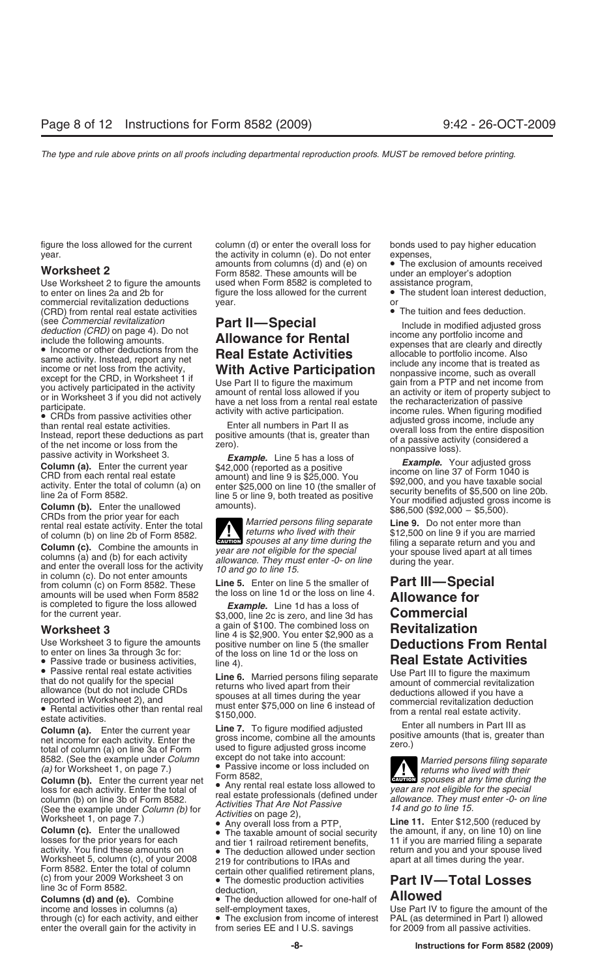to enter on lines 2a and 2b for figure the loss allowed for the current commercial revitalization deductions vear. commercial revitalization deductions year. or (CRD) from rental real estate activities • The tuition and fees deduction.

The prior year of each contained persons filing separate the g. Do not enter more than of column (b) on line 2b of Form 8582.

**Column (c).** Combine the amounts in year are not eligible for the special<br>columns (a) and (b) for each activity<br>allowance. They must enter -0- on line during the year.<br>in column (c). Do not enter amounts from column (c) on Form 8582. These **Line 5.** Enter on line 5 the smaller of **Part III—Special** amounts will be used when Form 8582 the loss on line 1d or the loss on line 4.<br>
is completed to figure the loss allowed *Example.* Line 1d has a loss of<br>
for the current year.<br> **Allowance for**<br> **Example.** Line 1d has a los

**Column (b).** Enter the current year net  $\bullet$  Any rental real estate loss allowed to<br>loss for each activity. Enter the total of<br>column (b) on line 3b of Form 8582.<br>(See the example under *Column (b)* for<br> $\bullet$  *Activities* 

losses for the prior years for each and tier 1 railroad retirement benefits, <sup>11</sup> if you are married filing a separate<br>activity. You find these amounts on **o** The deduction allowed under section return and you and your spo Worksheet 5, column (c), of your 2008 219 for contributions to IRAs and Form 8582. Enter the total of column certain other qualified retirement. Form 8582. Enter the total of column certain other qualified retirement plans,<br>
(c) from your 2009 Worksheet 3 on • The domestic production activities **Part IV—Total Losses**<br>
line 3c of Form 8582. deduction,

enter the overall gain for the activity in

figure the loss allowed for the current column (d) or enter the overall loss for bonds used to pay higher education year.<br>The activity in column (e). Do not enter expenses,<br>the exclusion of amounts received amounts from columns (d) and (e) on  $\bullet$  The exclusion of amounts received amounts from columns (d) and (e) on • The exclusion of amounts received amounts from columns (d) and (e) on<br>**Worksheet 2** to figure the amounts used when Form 8582 is completed to assistance program, Use Worksheet 2 to figure the amounts used when Form 8582 is completed to assistance program,<br>to enter on lines 2a and 2b for figure the loss allowed for the current • The student loan interest deduction,

rental real estate activity. Enter the total returns who lived with their \$12,500 on line 9 if you are married<br>of column (c) Combine the amounts in the spouses at any time during the filing a separate return and you and

\$3,000, line 2c is zero, and line 3d has

Worksheet 3<br>
Use Worksheet 3 to figure the amounts<br>
to enter on lines 3a through 3c for:<br>
to enter on lines 3a through 3c for:<br>
to enter on lines 3a through 3c for:<br>
The saisue trade or business activities<br> **Passive renta** 

line 3c of Form 8582.<br> **Columns (d) and (e).** Combine • The deduction allowed for one-half of **Allowed**<br>
income and losses in columns (a) • self-employment taxes, Use Part IV to

• The exclusion from income of interest PAL (as determined in Part I) allow<br>from series EE and I U.S. savings for 2009 from all passive activities.

(see Commercial revitatization<br>
include in modified adjusted gross<br>
include the following amounts.<br> **Example the delectric starts are to the conduct the delectric starts are the starts are delectric starts and the start a** 

8582. (See the example under *Column* except do not take into account:<br>
(a) for Worksheet 1, on page 7.) <br> **Column (b).** Enter the current year net **column 3582**,<br> **Column (b).** Enter the current year net **column is a colu ENTION** spouses at any time during the

**Column (c).** Enter the unallowed • The taxable amount of social security the amount, if any, on line 10) on line losses for the prior years for each and tier 1 railroad retirement benefits. 11 if you are married filing a return and you and your spouse lived<br>apart at all times during the year.

income and losses in columns (a) self-employment taxes, Use Part IV to figure the amount of the through (c) for each activity, and either  $\bullet$  The exclusion from income of interest PAL (as determined in Part I) allowed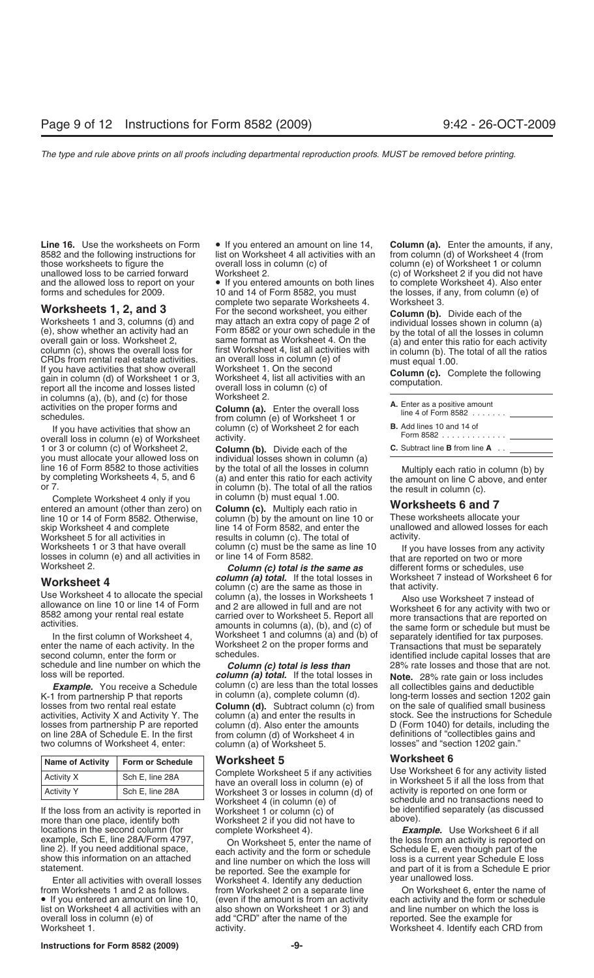those worksheets to figure the overall loss in column (c) of column (e) of Worksheet 1 or column<br>unallowed loss to be carried forward Worksheet 2. unallowed loss to be carried forward Worksheet 2. (c) of Worksheet 2 if you did not have<br>and the allowed loss to report on your  $\bullet$  If you entered amounts on both lines to complete Worksheet 4). Also enter

in columns (a), (b), and (c) for those Worksheet 2. A. Enter the overall loss schedules.<br> **A. Column (a).** Enter the overall loss schedules.<br> **Column (e)** of Worksheet 1 or

If you have activities that show an column (c) of Worksheet 2 for each overall loss in column (e) of Worksheet activity. 1 or 3 or column (c) of Worksheet 2, **Column (b).** Divide each of the **C.** Subtract line **B** from line **A** . . you must allocate your allowed loss on individual losses shown in column (a) line 16 of Form 8582 to those activities by the total of all the losses in column

Complete Worksheet 4 only if you in column (b) must equal 1.00. entered an amount (other than zero) on **Column (c).** Multiply each ratio in **Worksheets 6 and 7** line 10 or 14 of Form 8582. Otherwise, column (b) by the amount on line 10 or These worksheets allocate your<br>skip Worksheet 4 and complete sach ine 14 of Form 8582, and enter the sunallowed and allowed losses for each skip Worksheet 4 and complete line 14 of Form 8582, and enter the Worksheet 5 for all activities in results in column (c). The total of activity.

enter the name of each activity. In the Worksheet 2 on the proper forms and Transactions that must be separately<br>second column, enter the form or schedules.

two columns of Worksheet 4, enter:

| Name of Activity  | <b>Form or Schedule</b> |  |
|-------------------|-------------------------|--|
| <b>Activity X</b> | Sch E, line 28A         |  |
| <b>Activity Y</b> | Sch E, line 28A         |  |

If the loss from an activity is reported in Worksheet 1 or column (c) of be identified separately (as discussed the be identify hoth where separately (as discussed the be identify hoth where separately (as discussed the v more than one place, identify both Worksheet 2 if you did not have to locations in the second column (for absomplete Worksheet 4). locations in the second column (for complete Worksheet 4).<br>
example, Sch E, line 28A/Form 4797, Con Worksheet 5, enter the name of the loss from an activity is reported o example, Sch E, line 28A/Form 4797, Con Worksheet 5, enter the name of the loss from an activity is reported on line 2). If you need additional space, each activity and the form or schedule Schedule E, even though part of show this information on an attached and line number on which the loss will loss is a current year Schedule E<br>statement.

from Worksheets 1 and 2 as follows. from Worksheet 2 on a separate line On Worksheet 6, enter the name of • If you entered an amount on line 10, (even if the amount is from an activity each activity and the form or schedule list on Worksheet 4 all activities with an also shown on Worksheet 1 or 3) and and line number on which the loss is overall loss in column (e) of and the and "CRD" after the name of the section of the stample for overall loss in column (e) of add "CRD" after the name of the

8582 and the following instructions for list on Worksheet 4 all activities with an from column (d) of Worksheet 4 (from

and the allowed loss to report on your  $\bullet$  If you entered amounts on both lines to complete Worksheet 4). Also enter forms and schedules for 2009. 10 and 14 of Form 8582, you must the losses, if any, from column (e) of 10 and 14 of Form 8582, you must the losses, if any, from column (e) of complete two separate Worksheets 4. Worksheet 3. **Worksheets 1, 2, and 3** For the second worksheet, you either **Column (b).** Divide each of the Worksheets 1 and 3, columns (d) and may attach an extra copy of page 2 of individual losses shown in column Worksheets 1 and 3, columns (d) and may attach an extra copy of page 2 of individual losses shown in column (a)<br>
(e), show whether an activity had an Form 8582 or your own schedule in the by the total of all the losses in

line 16 of Form 8582 to those activities by the total of all the losses in column Multiply each ratio in column<br>by completing Worksheets 4, 5, and 6 (a) and enter this ratio for each activity the amount on line C above, an

**Worksheet 4**<br>
Use Worksheet 4 to allocate the special<br>
allowance on line 10 or line 14 of Form<br>
and 2 are allowed in full and are not<br>
allowance on line 10 or line 14 of Form<br>
and 2 are allowed in full and are not<br>
ans (a whiles.<br>In the first column of Worksheet 4, Morksheet 1 and columns (a) and (b) of inte same form or schedule but must<br>In the first column of Worksheet 4, Morksheet 2 on the proper forms and Transactions that must be separ

schedule and line number on which the **Column (c) total is less than** 28% rate losses and those that are not.<br>Ioss will be reported. **column (a) total.** If the total losses in **Note** 28% rate gain or loss includes **column (a) total.** If the total losses in **Note.** 28% rate gain or loss includes **Example.** You receive a Schedule column (c) are less than the total losses all collectibles gains and deductible K-1 from partnership P that reports in column (a), complete column (d). Subtract column (c) from on the sale **Column (d).** Subtract column (c) from on the sale of qualified small business column (a) and enter the results in stock. See the instructions for Schedule activities, Activity X and Activity Y. The column (a) and enter the results in stock. See the instructions for Schedule<br>losses from partnership P are reported column (d). Also enter the amounts D (Form 1040) for details, i losses from partnership P are reported column (d). Also enter the amounts D (Form 1040) for details, including<br>The line 28A of Schedule E. In the first from column (d) of Worksheet 4 in definitions of "collectibles gains a on line 28A of Schedule E. In the first from column (d) of Worksheet 4 in definitions of "collectibles gains a<br>two columns of Worksheet 4, enter: column (a) of Worksheet 5. (a) losses" and "section 1202 gain."

Complete Worksheet 5 if any activities Use Worksheet 6 for any activity listed<br>have an overall loss in column (e) of in Worksheet 5 if all the loss from that<br>Worksheet 3 or losses in column (d) of in activity is reported o Worksheet 3 or losses in column (d) of<br>Worksheet 4 (in column (e) of Worksheet 4 (in column (e) of schedule and no transactions need to<br>Worksheet 1 or column (c) of sume the identified separately (as discussed

stement.<br>Be reported. See the example for and part of it is from a Schedule E prior<br>Enter all activities with overall losses Worksheet 4. Identify any deduction year unallowed loss. Worksheet 4. Identify any deduction Worksheet 1. **Activity** activity. Worksheet 4. Identify each CRD from

**Line 16.** Use the worksheets on Form • If you entered an amount on line 14, **Column (a).** Enter the amounts, if any,

| A. Enter as a positive amount<br>line 4 of Form 8582 $\dots$ |  |
|--------------------------------------------------------------|--|
| <b>B.</b> Add lines 10 and 14 of<br>Form 8582 $\dots$        |  |
| C. Subtract line <b>B</b> from line A                        |  |

Worksheets 1 or 3 that have overall column (c) must be the same as line 10 fyou have losses from any activity<br>losses in column (e) and all activities in or line 14 of Form 8582.<br>Worksheet 2. **Column (c) total is the same a** 

second column, enter the form or schedules.<br>Schedule and line number on which the **Column (c) total is less than** 28% rate losses and those that are not.

**Worksheet 5**<br>Complete Worksheet 5 if any activities Use Worksheet 6 for any activity listed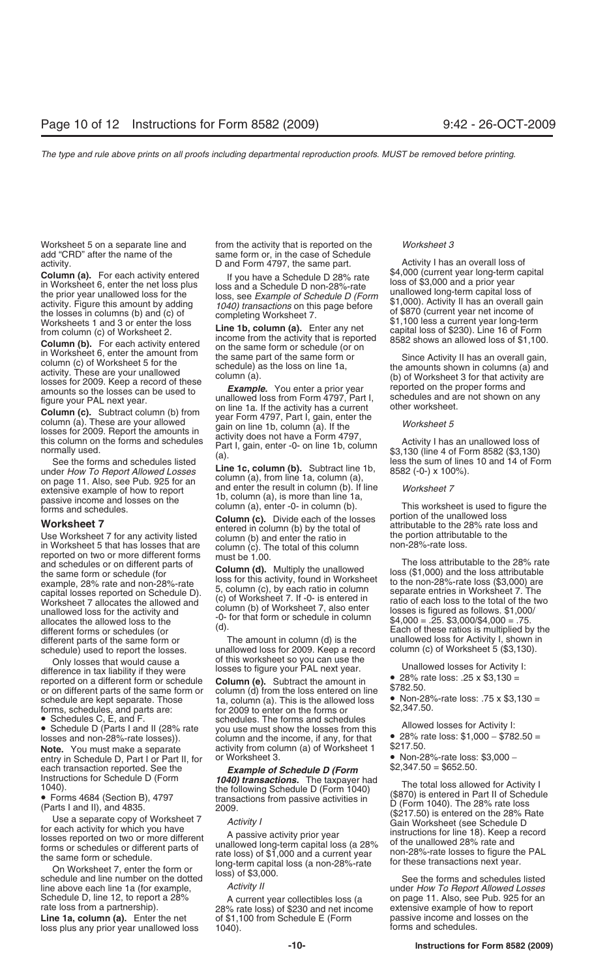See the forms and schedules listed<br>
under *How To Report Allowed Losses*<br>
on page 11. Also, see Pub. 925 for an<br>
extensive example of how to report<br>
and enter the result in column (b). If line<br>  $\frac{1}{2}$ <br>  $\frac{1}{2}$ <br>  $\frac{1}{$ b, column (a), is more than line 1a,<br>passive income and losses on the column (a), enter -0- in column (b). This worksheet is used to figure the<br>column (c). Divide each of the losses portion of the unallowed loss

reported on two or more different forms must be 1.00.<br>and schedules or on different parts of **Column (d).** Multiply the unallowed loss (\$1,000) and the loss attributable<br>the same form or schedule (for **Column (d).** Multipl different parts of the same form or The amount in column (d) is the unallowed loss for 2009. Keep a record

Only losses that would cause a of this worksheet so you can use the<br>difference in tax liability if they were losses to figure your PAL next year.<br>reported on a different form or schedule<br>or on different parts of the same or on different parts of the same form or column (d) from the loss entered on line  $\frac{$182.50}{9}$ .<br>schedule are kept separate. Those 1a, column (a). This is the allowed loss  $\bullet$  Non-28%-rate loss: .75 x \$3,130 = forms, s

entry in Schedule D, Part I or Part II, for or Worksheet 3. • • • Non-28%-rate loss:<br>.each transaction reported See the **Frample of Schedule D (Form** \$2,347.50 = \$652.50

*Activity II* and ine above each line 1a (for example, and the dotted and schedules listed above each line 1a (for example, *Activity II* and the *Activity II* and er *How To Report Allowed Losses*<br> *Activity II* and the Schedule D, line 12, to report a 28% A current year collectibles loss (a on page 11. Also, see Pub. 925 for an rate loss from a partnership). 28% rate loss) of \$230 and net income extensive example of how to report

loss plus any prior year unallowed loss 1040).

Worksheet 5 on a separate line and from the activity that is reported on the *Worksheet 3* add "CRD" after the name of the same form or, in the case of Schedule

From column (c) of Worksheet 2.<br> **Column (a)** Column (a) Column (a) Column (a) Column (b). For each activity entered on the same form or schedule (or on<br>
in Worksheet 5. oner the amount from the model of the same part of

and enter the result in column (b). If line

**Column (c).** Divide each of the losses portion of the unallowed loss<br> **Worksheet 7**<br>
Use Worksheet 7 for any activity listed column (b) by the total of attributable to the 28% rate loss and<br>
in Worksheet 5 that has losses

example, 28% rate and non-28%-rate loss for this activity, found in Worksheet to the non-28%-rate loss (\$3,000) are<br>capital losses reported on Schedule D) 5, column (c), by each ratio in column separate entries in Workshee capital losses reported on Schedule D). 5, column (c), by each ratio in column separate entries in Worksheet 7. The<br>Worksheet 7 allocates the allowed and (c) of Worksheet 7. If -0- is entered in ratio of each loss to the t Worksheet 7 allocates the allowed and (b) of Worksheet 7. If -0- is entered in ratio of each loss to the total of the t<br>unallowed loss for the activity and column (b) of Worksheet 7, also enter losses is figured as follows From the activity and unallowed loss for the activity and unallowed loss for the activity and  $-0$ - for that form or schedule in column  $\frac{4,000}{4,000} = .25. \frac{4,000}{4,000} = .75. \frac{4,000}{4,000} = .75. \frac{4}{3,000} = .75. \frac{4}{3,0$ 

schedule) used to report the losses. unallowed loss for 2009. Keep a record column (c) of Worksheet 5 (\$3,130).

forms, schedules, and parts are: for 2009 to enter on the forms or \$2,347.50.<br>● Schedules C, E, and F. schedules. The forms and schedules Allowed losses for Activity I: Schedule D (Parts I and II (28% rate you use must sh • Schedule D (Parts I and II (28% rate you use must show the losses from this Allowed losses for Activity i:<br>losses and non-28%-rate losses)). column and the income, if any, for that • 28% rate loss: \$1,000 – \$782.50 =<br>No Note. You must make a separate activity from column (a) of Worksheet 1  $\frac{$217.50}{\bullet}$  Non-28%-rate loss: \$3,000 -

28% rate loss) of \$230 and net income extensive example of how to report of \$1.100 from Schedule E (Form sassive income and losses on the **Line 1a, column (a).** Enter the net of \$1,100 from Schedule E (Form passive income and loss plus any prior vear unallowed loss 1040).

activity.<br>
D and Form 4797, the same part. Activity I has an overall loss of<br>
Column (a) For each activity entered If you have a Sabodule D 38% rate \$4,000 (current year long-term capital **Column (a).** For each activity entered<br>
in Worksheet 6, enter the net loss plus<br>
the prior year unallowed loss for the<br>
activity. Figure this amount by adding<br>
the losses in columns (b) and (c) of<br>
the losses in columns

different forms or schedules (or  $\frac{(d)}{d}$ .<br>different parts of the same form or The amount in column (d) is the unallowed loss for Activity I, shown in

- 
- 

each transaction reported. See the **Example of Schedule D (Form** \$2,347.50 = \$652.50.<br>
Instructions for Schedule D (Form **1040) transactions.** The taxpayer had<br>
1040) **the** following Schedule D (Form 1040)<br>
Forms 4684 (Sec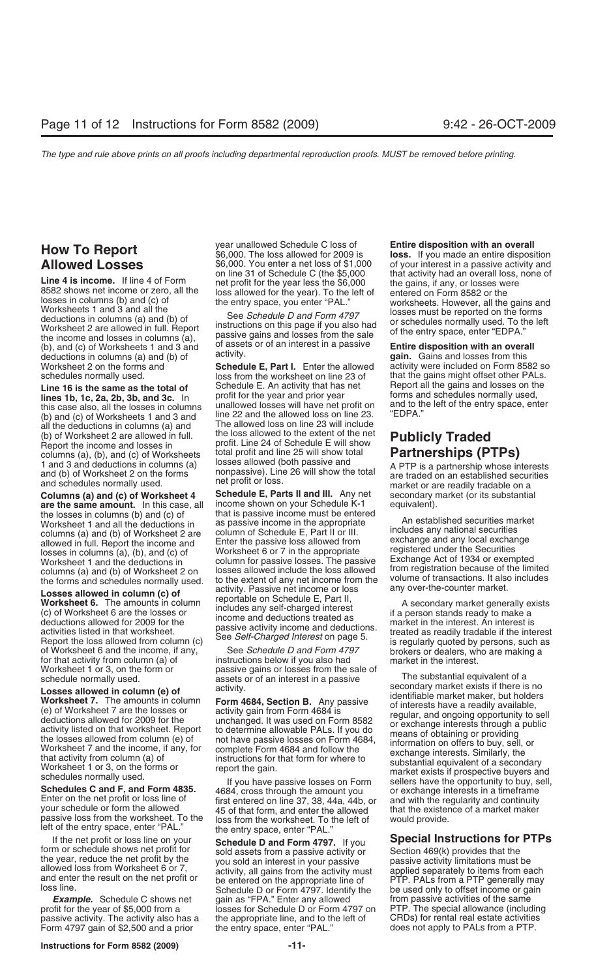losses in columns (b) and (c) of the entry space, you enter "PAL."<br>Worksheets 1 and 3 and all the See Schedule D and Form 4797<br>deductions in columns (a) and (b) of See Schedule D and Form 4797 losses must be reported on th deductions in columns (a) and (b) of activity. **gain.** Gains and losses from this Worksheet 2 on the forms and **Schedule E, Part I.** Enter the allowed schedules normally used. **Schedule E, Part I.** Enter the allowed

profit for the year and prior year forms and schedules normally used,<br>this case also all the losses in columns unallowed losses will have net profit on and to the left of the entry space, enter this case also, all the losses in columns unallowed losses will have net profit on and to the left of the allowed loss on line 23. "EDPA." all the deductions in columns (a) and The allowed loss on line 23 will include all the deductions in columns (a) and The allowed loss on line 23 will include (b) of Worksheet 2 are allowed in full. the loss allowed to the extent of the net the loss allowed to the extent of the net **Publicly Traded**<br>Report the income and losses in profit. Line 24 of Schedule E will show<br>columns (a), (b), and (c) of Worksheets total profit and line 25 will show total **Partners** columns (a), (b), and (c) of Worksheets total profit and line 25 will show to 1 and 3 and deductions in columns (a) losses allowed (both passive and 1 and 3 and deductions in columns (a) losses allowed (both passive and<br>and (b) of Worksheet 2 on the forms nonpassive). Line 26 will show the total are traded on an established securities<br>and schedules normally used. The p

**are the same amount.** In this case, all the losses in columns (b) and (c) of Worksheet 1 and all the deductions in as passive income in the appropriate and all the deductions in as passive income in the appropriate and all the deductions in as passive income in the appropriate and all the deduction losses in columns (a), (b), and (c) of Worksheet 6 or 7 in the appropriate registered under the Securities<br>Worksheet 1 and the deductions in column for passive losses. The passive Exchange Act of 1934 or exempted<br>columns (

**Worksheet 6.** The amounts in column reportable on Schedule E, Part II,<br>
(c) of Worksheet 6 are the losses or<br>
deductions allowed for 2009 for the<br>
activities listed in that worksheet.<br>
Report the loss allowed from column

passive loss from the allowed and the the allowed that the existence of a market maker passive loss from the worksheet. To the worksheet. To the left of would provide.<br>
left of the entry space, enter "PAL." the entry space

If the net profit or loss line on your **Schedule D and Form 4797.** If you **Special Instructions for PTPs**

Form 4797 gain of \$2,500 and a prior the entry space, enter "PAL."

**How To Report** year unallowed Schedule C loss of **Entire disposition with an overall**<br>\$6,000. The loss allowed for 2009 is **loss.** If you made an entire disposition<br>**Allowed Losses** \$6,000. You enter a net loss of \$1,000

the income and losses in columns (a), passive gains and losses from the sale<br>
(b), and (c) of Worksheets 1 and 3 and of assets or of an interest in a passive **Entire disposition with an overall**<br>
deductions in columns (a)

loss from the worksheet on line 23 of that the gains might offset other PALs. Line 16 is the same as the total of Schedule E. An activity that has net **Report all the gains and losses on the same as the total of** Schedule E. An activity that has net Report all the gains and losses on the vear and pr

**Columns (a) and (c) of Worksheet 4 Schedule E, Parts II and III.** Any net secondary market (or its substantial are the same amount. In this case, all income shown on your Schedule K-1 equivalent). that is passive income must be entered columns (a) and (b) of Worksheet 2 are<br>allowed in full. Report the income and<br>losses in columns (a), (b), and (c) of Worksheet 6 or 7 in the appropriate integrate the Securities<br>losses in columns (a), (b), and (c) of Works columns (a) and (b) of Worksheet 2 on losses allowed include the loss allowed from registration because of the limited<br>the forms and schedules normally used. to the extent of any net income from the volume of transactions.

of Worksheet 6 and the income, if any, See *Schedule D and Form 4797* brokers or dealers, who are making a for that activity from column (a) of instructions below if you also had market in the interest.<br>Worksheet 1 or 3, o passive gains or losses from the sale of schedule normally used. assets or of an interest in a passive The substantial equivalent of a<br>Activity activity activity

Form or schedule shows net profit for<br>the year, reduce the net profit by the<br>allowed loss from Worksheet 6 or 7,<br>and enter the result on the net profit or<br>loss line.<br>Schedule D or Form 4797. Identify the<br>Schedule D or Form **Example.** Schedule C shows net gain as "FPA." Enter any allowed from passive activities of the same profit for the year of \$5,000 from a losses for Schedule D or Form 4797 on PTP. The special allowance (including losses for Schedule D or Form 4797 on PTP. The special allowance (including the appropriate line, and to the left of CRDs) for rental real estate activities passive activity. The activity also has a the appropriate line, and to the left of CRDs) for rental real estate activities<br>Form 4797 gain of \$2,500 and a prior the entry space, enter "PAL." does not apply to PALs from a PT

\$6,000. You enter a net loss of \$1,000 of your interest in a passive activity and<br>on line 31 of Schedule C (the \$5,000 that activity had an overall loss, none of **Line 4 is income.** If line 4 of Form the profit for the year less the \$6,000 the gains, if any, or losses were<br>8582 shows net income or zero, all the loss allowed for the year). To the left of the gains, if any, or losses

and profit of loss.<br>**Schedule E, Parts II and III.** Any net secondary market (or its substantia

Losses allowed in column (e) of<br>
Worksheet 7. The amounts in column Form 4684, Section B. Any passive<br>
(e) of whorksheet 7. The amounts in column Form 4684, Section B. Any passive<br>
(e) of Worksheet 7 are the losses or Form